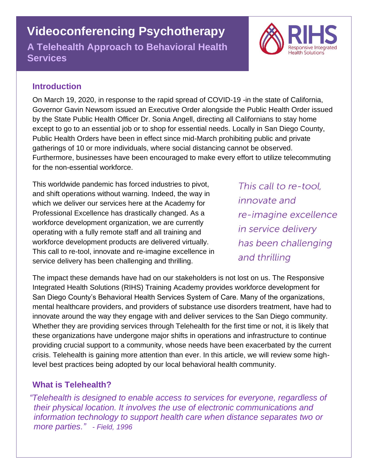# **Videoconferencing Psychotherapy**

**A Telehealth Approach to Behavioral Health Services**



## **Introduction**

On March 19, 2020, in response to the rapid spread of COVID-19 -in the state of California, Governor Gavin Newsom issued an Executive Order alongside the Public Health Order issued by the State Public Health Officer Dr. Sonia Angell, directing all Californians to stay home except to go to an essential job or to shop for essential needs. Locally in San Diego County, Public Health Orders have been in effect since mid-March prohibiting public and private gatherings of 10 or more individuals, where social distancing cannot be observed. Furthermore, businesses have been encouraged to make every effort to utilize telecommuting for the non-essential workforce.

This worldwide pandemic has forced industries to pivot, and shift operations without warning. Indeed, the way in which we deliver our services here at the Academy for Professional Excellence has drastically changed. As a workforce development organization, we are currently operating with a fully remote staff and all training and workforce development products are delivered virtually. This call to re-tool, innovate and re-imagine excellence in service delivery has been challenging and thrilling.

This call to re-tool. innovate and re-imagine excellence in service delivery has been challenging and thrilling

The impact these demands have had on our stakeholders is not lost on us. The Responsive Integrated Health Solutions (RIHS) Training Academy provides workforce development for San Diego County's Behavioral Health Services System of Care. Many of the organizations, mental healthcare providers, and providers of substance use disorders treatment, have had to innovate around the way they engage with and deliver services to the San Diego community. Whether they are providing services through Telehealth for the first time or not, it is likely that these organizations have undergone major shifts in operations and infrastructure to continue providing crucial support to a community, whose needs have been exacerbated by the current crisis. Telehealth is gaining more attention than ever. In this article, we will review some highlevel best practices being adopted by our local behavioral health community.

# **What is Telehealth?**

*"Telehealth is designed to enable access to services for everyone, regardless of their physical location. It involves the use of electronic communications and information technology to support health care when distance separates two or more parties." - Field, 1996*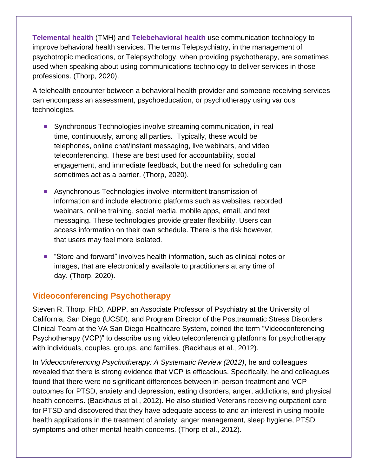**Telemental health** (TMH) and **Telebehavioral health** use communication technology to improve behavioral health services. The terms Telepsychiatry, in the management of psychotropic medications, or Telepsychology, when providing psychotherapy, are sometimes used when speaking about using communications technology to deliver services in those professions. (Thorp, 2020).

A telehealth encounter between a behavioral health provider and someone receiving services can encompass an assessment, psychoeducation, or psychotherapy using various technologies.

- **•** Synchronous Technologies involve streaming communication, in real time, continuously, among all parties. Typically, these would be telephones, online chat/instant messaging, live webinars, and video teleconferencing. These are best used for accountability, social engagement, and immediate feedback, but the need for scheduling can sometimes act as a barrier. (Thorp, 2020).
- **•** Asynchronous Technologies involve intermittent transmission of information and include electronic platforms such as websites, recorded webinars, online training, social media, mobile apps, email, and text messaging. These technologies provide greater flexibility. Users can access information on their own schedule. There is the risk however, that users may feel more isolated.
- **•** "Store-and-forward" involves health information, such as clinical notes or images, that are electronically available to practitioners at any time of day. (Thorp, 2020).

## **Videoconferencing Psychotherapy**

Steven R. Thorp, PhD, ABPP, an Associate Professor of Psychiatry at the University of California, San Diego (UCSD), and Program Director of the Posttraumatic Stress Disorders Clinical Team at the VA San Diego Healthcare System, coined the term "Videoconferencing Psychotherapy (VCP)" to describe using video teleconferencing platforms for psychotherapy with individuals, couples, groups, and families. (Backhaus et al., 2012).

In *Videoconferencing Psychotherapy: A Systematic Review (2012)*, he and colleagues revealed that there is strong evidence that VCP is efficacious. Specifically, he and colleagues found that there were no significant differences between in-person treatment and VCP outcomes for PTSD, anxiety and depression, eating disorders, anger, addictions, and physical health concerns. (Backhaus et al., 2012). He also studied Veterans receiving outpatient care for PTSD and discovered that they have adequate access to and an interest in using mobile health applications in the treatment of anxiety, anger management, sleep hygiene, PTSD symptoms and other mental health concerns. (Thorp et al., 2012).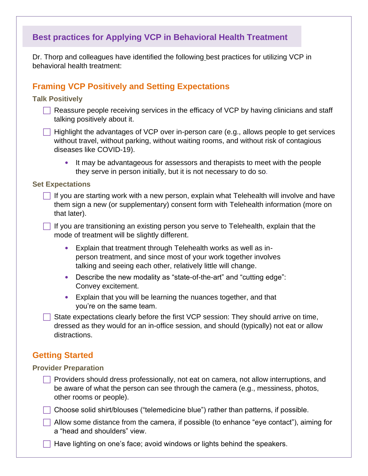# **Best practices for Applying VCP in Behavioral Health Treatment**

Dr. Thorp and colleagues have identified the following best practices for utilizing VCP in behavioral health treatment:

## **Framing VCP Positively and Setting Expectations**

#### **Talk Positively**

- $\Box$  Reassure people receiving services in the efficacy of VCP by having clinicians and staff talking positively about it.
- $\Box$  Highlight the advantages of VCP over in-person care (e.g., allows people to get services without travel, without parking, without waiting rooms, and without risk of contagious diseases like COVID-19).
	- It may be advantageous for assessors and therapists to meet with the people they serve in person initially, but it is not necessary to do so.

#### **Set Expectations**

 $\Box$  If you are starting work with a new person, explain what Telehealth will involve and have them sign a new (or supplementary) consent form with Telehealth information (more on that later).

 $\Box$  If you are transitioning an existing person you serve to Telehealth, explain that the mode of treatment will be slightly different.

- Explain that treatment through Telehealth works as well as inperson treatment, and since most of your work together involves talking and seeing each other, relatively little will change.
- Describe the new modality as "state-of-the-art" and "cutting edge": Convey excitement.
- Explain that you will be learning the nuances together, and that you're on the same team.

 State expectations clearly before the first VCP session: They should arrive on time, dressed as they would for an in-office session, and should (typically) not eat or allow distractions.

#### **Getting Started**

#### **Provider Preparation**

- $\Box$  Providers should dress professionally, not eat on camera, not allow interruptions, and be aware of what the person can see through the camera (e.g., messiness, photos, other rooms or people).
- Choose solid shirt/blouses ("telemedicine blue") rather than patterns, if possible.
- $\Box$  Allow some distance from the camera, if possible (to enhance "eye contact"), aiming for a "head and shoulders" view.
	- Have lighting on one's face; avoid windows or lights behind the speakers.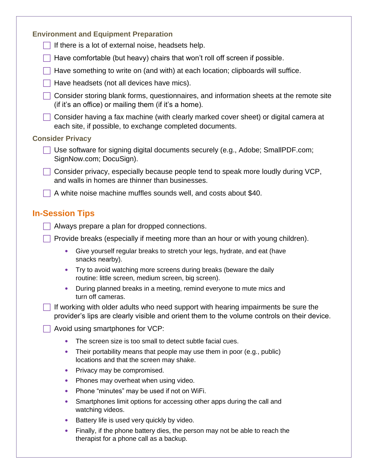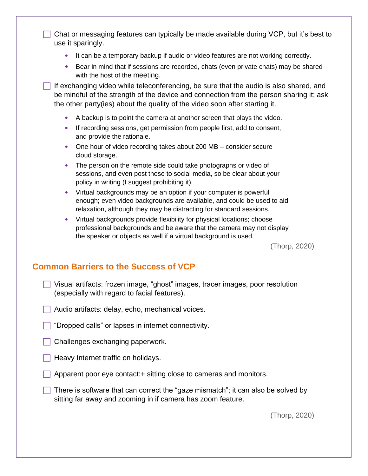$\Box$  Chat or messaging features can typically be made available during VCP, but it's best to use it sparingly.

- It can be a temporary backup if audio or video features are not working correctly.
- Bear in mind that if sessions are recorded, chats (even private chats) may be shared with the host of the meeting.

If exchanging video while teleconferencing, be sure that the audio is also shared, and be mindful of the strength of the device and connection from the person sharing it; ask the other party(ies) about the quality of the video soon after starting it.

- A backup is to point the camera at another screen that plays the video.
- If recording sessions, get permission from people first, add to consent, and provide the rationale.
- One hour of video recording takes about 200 MB consider secure cloud storage.
- The person on the remote side could take photographs or video of sessions, and even post those to social media, so be clear about your policy in writing (I suggest prohibiting it).
- Virtual backgrounds may be an option if your computer is powerful enough; even video backgrounds are available, and could be used to aid relaxation, although they may be distracting for standard sessions.
- Virtual backgrounds provide flexibility for physical locations; choose professional backgrounds and be aware that the camera may not display the speaker or objects as well if a virtual background is used.

(Thorp, 2020)

## **Common Barriers to the Success of VCP**

- Visual artifacts: frozen image, "ghost" images, tracer images, poor resolution (especially with regard to facial features).
- Audio artifacts: delay, echo, mechanical voices.
- **T** "Dropped calls" or lapses in internet connectivity.
- Challenges exchanging paperwork.
- $\Box$  Heavy Internet traffic on holidays.
- Apparent poor eye contact:+ sitting close to cameras and monitors.
- There is software that can correct the "gaze mismatch"; it can also be solved by sitting far away and zooming in if camera has zoom feature.

(Thorp, 2020)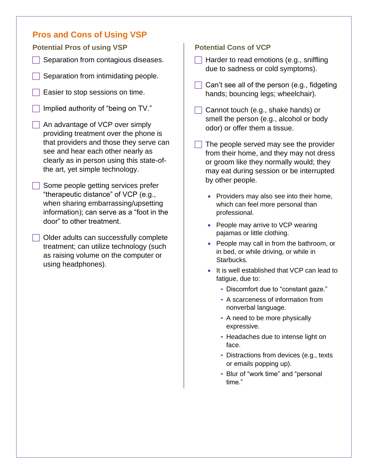## **Pros and Cons of Using VSP**

**Potential Pros of using VSP**

- Separation from contagious diseases.
- Separation from intimidating people.
- Easier to stop sessions on time.
- Implied authority of "being on TV."
- An advantage of VCP over simply providing treatment over the phone is that providers and those they serve can see and hear each other nearly as clearly as in person using this state-ofthe art, yet simple technology.
- Some people getting services prefer "therapeutic distance" of VCP (e.g., when sharing embarrassing/upsetting information); can serve as a "foot in the door" to other treatment.
- Older adults can successfully complete treatment; can utilize technology (such as raising volume on the computer or using headphones).

#### **Potential Cons of VCP**

- $\Box$  Harder to read emotions (e.g., sniffling due to sadness or cold symptoms).
- Can't see all of the person (e.g., fidgeting hands; bouncing legs; wheelchair).
- $\Box$  Cannot touch (e.g., shake hands) or smell the person (e.g., alcohol or body odor) or offer them a tissue.
- The people served may see the provider from their home, and they may not dress or groom like they normally would; they may eat during session or be interrupted by other people.
	- Providers may also see into their home, which can feel more personal than professional.
	- People may arrive to VCP wearing pajamas or little clothing.
	- People may call in from the bathroom, or in bed, or while driving, or while in Starbucks.
	- It is well established that VCP can lead to fatigue, due to:
		- ⁃ Discomfort due to "constant gaze."
		- ⁃ A scarceness of information from nonverbal language.
		- ⁃ A need to be more physically expressive.
		- ⁃ Headaches due to intense light on face.
		- ⁃ Distractions from devices (e.g., texts or emails popping up).
		- ⁃ Blur of "work time" and "personal time."